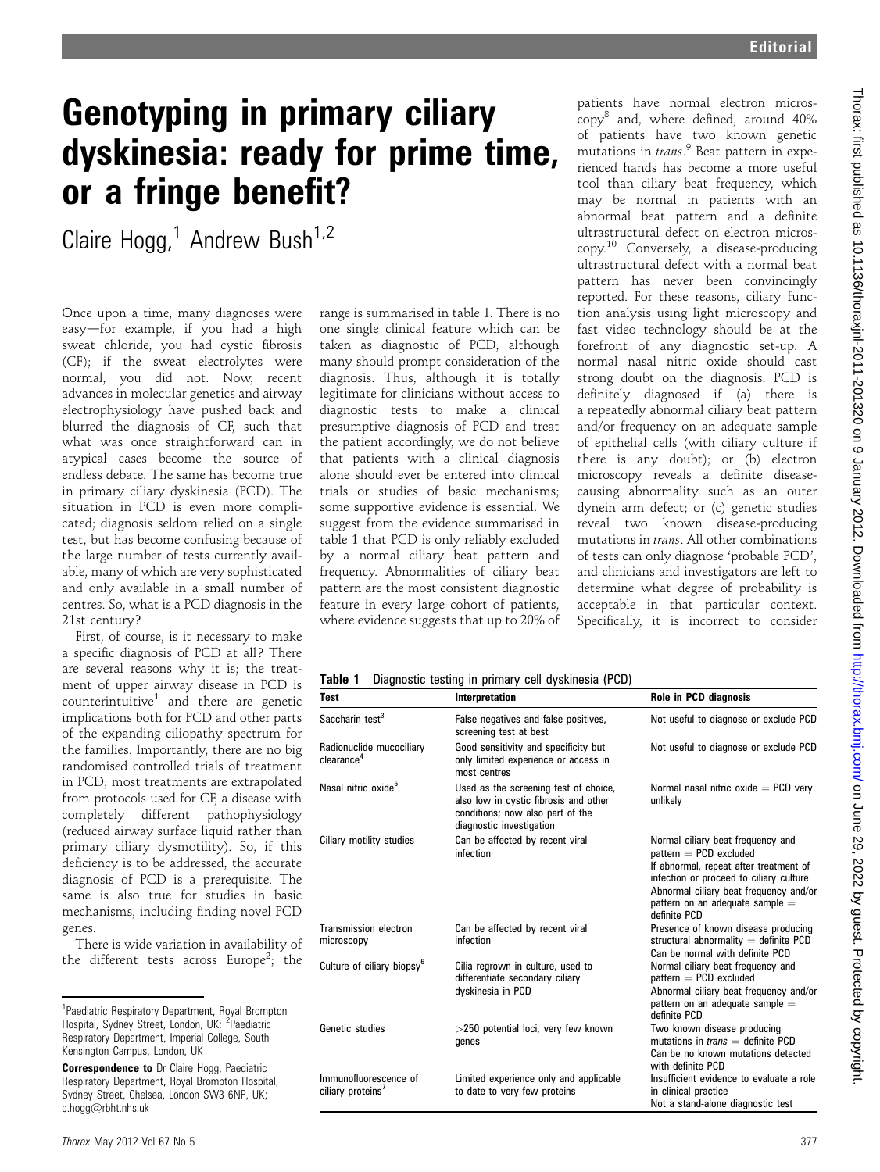## Genotyping in primary ciliary dyskinesia: ready for prime time, or a fringe benefit?

Claire Hogg,<sup>1</sup> Andrew Bush<sup>1,2</sup>

Once upon a time, many diagnoses were easy-for example, if you had a high sweat chloride, you had cystic fibrosis (CF); if the sweat electrolytes were normal, you did not. Now, recent advances in molecular genetics and airway electrophysiology have pushed back and blurred the diagnosis of CF, such that what was once straightforward can in atypical cases become the source of endless debate. The same has become true in primary ciliary dyskinesia (PCD). The situation in PCD is even more complicated; diagnosis seldom relied on a single test, but has become confusing because of the large number of tests currently available, many of which are very sophisticated and only available in a small number of centres. So, what is a PCD diagnosis in the 21st century?

First, of course, is it necessary to make a specific diagnosis of PCD at all? There are several reasons why it is; the treatment of upper airway disease in PCD is counterintuitive<sup>1</sup> and there are genetic implications both for PCD and other parts of the expanding ciliopathy spectrum for the families. Importantly, there are no big randomised controlled trials of treatment in PCD; most treatments are extrapolated from protocols used for CF, a disease with completely different pathophysiology (reduced airway surface liquid rather than primary ciliary dysmotility). So, if this deficiency is to be addressed, the accurate diagnosis of PCD is a prerequisite. The same is also true for studies in basic mechanisms, including finding novel PCD genes.

There is wide variation in availability of the different tests across Europe<sup>2</sup>; the

range is summarised in table 1. There is no one single clinical feature which can be taken as diagnostic of PCD, although many should prompt consideration of the diagnosis. Thus, although it is totally legitimate for clinicians without access to diagnostic tests to make a clinical presumptive diagnosis of PCD and treat the patient accordingly, we do not believe that patients with a clinical diagnosis alone should ever be entered into clinical trials or studies of basic mechanisms; some supportive evidence is essential. We suggest from the evidence summarised in table 1 that PCD is only reliably excluded by a normal ciliary beat pattern and frequency. Abnormalities of ciliary beat pattern are the most consistent diagnostic feature in every large cohort of patients, where evidence suggests that up to 20% of

patients have normal electron micros $copy<sup>8</sup>$  and, where defined, around 40% of patients have two known genetic mutations in trans.<sup>9</sup> Beat pattern in experienced hands has become a more useful tool than ciliary beat frequency, which may be normal in patients with an abnormal beat pattern and a definite ultrastructural defect on electron microscopy.<sup>10</sup> Conversely, a disease-producing ultrastructural defect with a normal beat pattern has never been convincingly reported. For these reasons, ciliary function analysis using light microscopy and fast video technology should be at the forefront of any diagnostic set-up. A normal nasal nitric oxide should cast strong doubt on the diagnosis. PCD is definitely diagnosed if (a) there is a repeatedly abnormal ciliary beat pattern and/or frequency on an adequate sample of epithelial cells (with ciliary culture if there is any doubt); or (b) electron microscopy reveals a definite diseasecausing abnormality such as an outer dynein arm defect; or (c) genetic studies reveal two known disease-producing mutations in trans. All other combinations of tests can only diagnose 'probable PCD', and clinicians and investigators are left to determine what degree of probability is acceptable in that particular context. Specifically, it is incorrect to consider

Table 1 Diagnostic testing in primary cell dyskinesia (PCD)

| <b>Test</b>                                            | Interpretation                                                                                                                                 | Role in PCD diagnosis                                                                                                                                                                                                                           |
|--------------------------------------------------------|------------------------------------------------------------------------------------------------------------------------------------------------|-------------------------------------------------------------------------------------------------------------------------------------------------------------------------------------------------------------------------------------------------|
| Saccharin test <sup>3</sup>                            | False negatives and false positives,<br>screening test at best                                                                                 | Not useful to diagnose or exclude PCD                                                                                                                                                                                                           |
| Radionuclide mucociliary<br>clearance <sup>4</sup>     | Good sensitivity and specificity but<br>only limited experience or access in<br>most centres                                                   | Not useful to diagnose or exclude PCD                                                                                                                                                                                                           |
| Nasal nitric oxide <sup>5</sup>                        | Used as the screening test of choice,<br>also low in cystic fibrosis and other<br>conditions; now also part of the<br>diagnostic investigation | Normal nasal nitric oxide $=$ PCD very<br>unlikely                                                                                                                                                                                              |
| Ciliary motility studies                               | Can be affected by recent viral<br>infection                                                                                                   | Normal ciliary beat frequency and<br>$pattern = PCD$ excluded<br>If abnormal, repeat after treatment of<br>infection or proceed to ciliary culture<br>Abnormal ciliary beat frequency and/or<br>pattern on an adequate sample =<br>definite PCD |
| Transmission electron<br>microscopy                    | Can be affected by recent viral<br>infection                                                                                                   | Presence of known disease producing<br>structural abnormality $=$ definite PCD<br>Can be normal with definite PCD                                                                                                                               |
| Culture of ciliary biopsy <sup>6</sup>                 | Cilia regrown in culture, used to<br>differentiate secondary ciliary<br>dyskinesia in PCD                                                      | Normal ciliary beat frequency and<br>$pattern = PCD$ excluded<br>Abnormal ciliary beat frequency and/or<br>pattern on an adequate sample =<br>definite PCD                                                                                      |
| Genetic studies                                        | >250 potential loci, very few known<br>genes                                                                                                   | Two known disease producing<br>mutations in $trans =$ definite PCD<br>Can be no known mutations detected<br>with definite PCD                                                                                                                   |
| Immunofluorescence of<br>ciliary proteins <sup>7</sup> | Limited experience only and applicable<br>to date to very few proteins                                                                         | Insufficient evidence to evaluate a role<br>in clinical practice<br>Not a stand-alone diagnostic test                                                                                                                                           |

<sup>&</sup>lt;sup>1</sup>Paediatric Respiratory Department, Royal Brompton Hospital, Sydney Street, London, UK; <sup>2</sup>Paediatric Respiratory Department, Imperial College, South Kensington Campus, London, UK

**Correspondence to** Dr Claire Hogg, Paediatric Respiratory Department, Royal Brompton Hospital, Sydney Street, Chelsea, London SW3 6NP, UK; c.hogg@rbht.nhs.uk